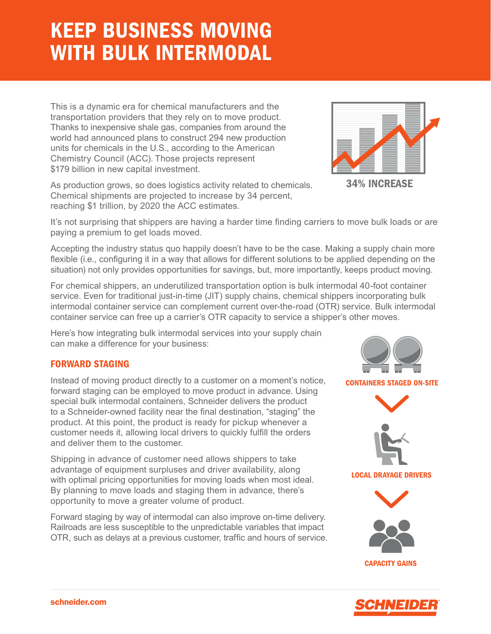# KEEP BUSINESS MOVING WITH BULK INTERMODAL

This is a dynamic era for chemical manufacturers and the transportation providers that they rely on to move product. Thanks to inexpensive shale gas, companies from around the world had announced plans to construct 294 new production units for chemicals in the U.S., according to the American Chemistry Council (ACC). Those projects represent \$179 billion in new capital investment.

As production grows, so does logistics activity related to chemicals. Chemical shipments are projected to increase by 34 percent, reaching \$1 trillion, by 2020 the ACC estimates.

It's not surprising that shippers are having a harder time finding carriers to move bulk loads or are paying a premium to get loads moved.

Accepting the industry status quo happily doesn't have to be the case. Making a supply chain more flexible (i.e., configuring it in a way that allows for different solutions to be applied depending on the situation) not only provides opportunities for savings, but, more importantly, keeps product moving.

For chemical shippers, an underutilized transportation option is bulk intermodal 40-foot container service. Even for traditional just-in-time (JIT) supply chains, chemical shippers incorporating bulk intermodal container service can complement current over-the-road (OTR) service. Bulk intermodal container service can free up a carrier's OTR capacity to service a shipper's other moves.

Here's how integrating bulk intermodal services into your supply chain can make a difference for your business:

## FORWARD STAGING

Instead of moving product directly to a customer on a moment's notice, forward staging can be employed to move product in advance. Using special bulk intermodal containers, Schneider delivers the product to a Schneider-owned facility near the final destination, "staging" the product. At this point, the product is ready for pickup whenever a customer needs it, allowing local drivers to quickly fulfill the orders and deliver them to the customer.

Shipping in advance of customer need allows shippers to take advantage of equipment surpluses and driver availability, along with optimal pricing opportunities for moving loads when most ideal. By planning to move loads and staging them in advance, there's opportunity to move a greater volume of product.

Forward staging by way of intermodal can also improve on-time delivery. Railroads are less susceptible to the unpredictable variables that impact OTR, such as delays at a previous customer, traffic and hours of service.



21N 21D